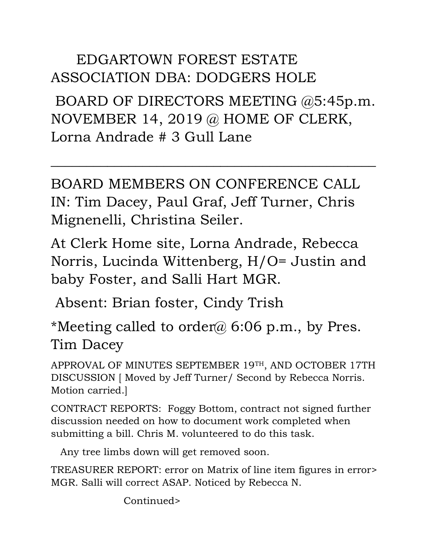## EDGARTOWN FOREST ESTATE ASSOCIATION DBA: DODGERS HOLE

BOARD OF DIRECTORS MEETING @5:45p.m. NOVEMBER 14, 2019 @ HOME OF CLERK, Lorna Andrade # 3 Gull Lane

 $\overline{\phantom{a}}$  , and the contract of the contract of the contract of the contract of the contract of the contract of the contract of the contract of the contract of the contract of the contract of the contract of the contrac

BOARD MEMBERS ON CONFERENCE CALL IN: Tim Dacey, Paul Graf, Jeff Turner, Chris Mignenelli, Christina Seiler.

At Clerk Home site, Lorna Andrade, Rebecca Norris, Lucinda Wittenberg, H/O= Justin and baby Foster, and Salli Hart MGR.

Absent: Brian foster, Cindy Trish

\*Meeting called to order@ 6:06 p.m., by Pres. Tim Dacey

APPROVAL OF MINUTES SEPTEMBER 19TH, AND OCTOBER 17TH DISCUSSION [ Moved by Jeff Turner/ Second by Rebecca Norris. Motion carried.]

CONTRACT REPORTS: Foggy Bottom, contract not signed further discussion needed on how to document work completed when submitting a bill. Chris M. volunteered to do this task.

Any tree limbs down will get removed soon.

TREASURER REPORT: error on Matrix of line item figures in error> MGR. Salli will correct ASAP. Noticed by Rebecca N.

Continued>